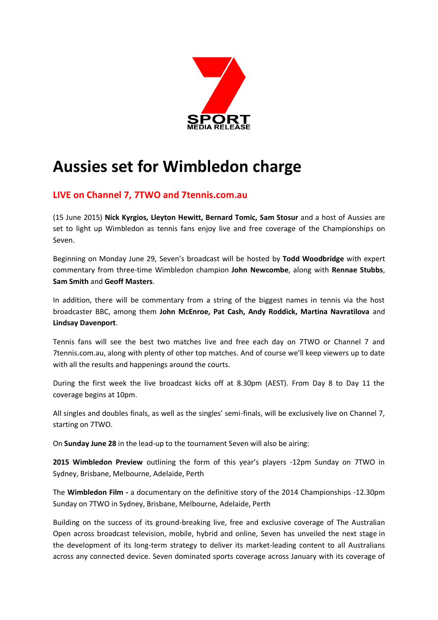

# **Aussies set for Wimbledon charge**

# **LIVE on Channel 7, 7TWO and 7tennis.com.au**

(15 June 2015) **Nick Kyrgios, Lleyton Hewitt, Bernard Tomic, Sam Stosur** and a host of Aussies are set to light up Wimbledon as tennis fans enjoy live and free coverage of the Championships on Seven.

Beginning on Monday June 29, Seven's broadcast will be hosted by **Todd Woodbridge** with expert commentary from three-time Wimbledon champion **John Newcombe**, along with **Rennae Stubbs**, **Sam Smith** and **Geoff Masters**.

In addition, there will be commentary from a string of the biggest names in tennis via the host broadcaster BBC, among them **John McEnroe, Pat Cash, Andy Roddick, Martina Navratilova** and **Lindsay Davenport**.

Tennis fans will see the best two matches live and free each day on 7TWO or Channel 7 and 7tennis.com.au, along with plenty of other top matches. And of course we'll keep viewers up to date with all the results and happenings around the courts.

During the first week the live broadcast kicks off at 8.30pm (AEST). From Day 8 to Day 11 the coverage begins at 10pm.

All singles and doubles finals, as well as the singles' semi-finals, will be exclusively live on Channel 7, starting on 7TWO.

On **Sunday June 28** in the lead-up to the tournament Seven will also be airing:

**2015 Wimbledon Preview** outlining the form of this year's players -12pm Sunday on 7TWO in Sydney, Brisbane, Melbourne, Adelaide, Perth

The **Wimbledon Film -** a documentary on the definitive story of the 2014 Championships -12.30pm Sunday on 7TWO in Sydney, Brisbane, Melbourne, Adelaide, Perth

Building on the success of its ground-breaking live, free and exclusive coverage of The Australian Open across broadcast television, mobile, hybrid and online, Seven has unveiled the next stage in the development of its long-term strategy to deliver its market-leading content to all Australians across any connected device. Seven dominated sports coverage across January with its coverage of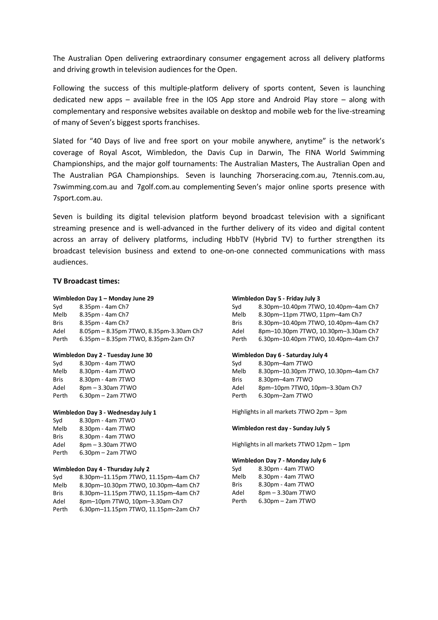The Australian Open delivering extraordinary consumer engagement across all delivery platforms and driving growth in television audiences for the Open.

Following the success of this multiple-platform delivery of sports content, Seven is launching dedicated new apps – available free in the IOS App store and Android Play store – along with complementary and responsive websites available on desktop and mobile web for the live-streaming of many of Seven's biggest sports franchises.

Slated for "40 Days of live and free sport on your mobile anywhere, anytime" is the network's coverage of Royal Ascot, Wimbledon, the Davis Cup in Darwin, The FINA World Swimming Championships, and the major golf tournaments: The Australian Masters, The Australian Open and The Australian PGA Championships. Seven is launching 7horseracing.com.au, 7tennis.com.au, 7swimming.com.au and 7golf.com.au complementing Seven's major online sports presence with 7sport.com.au.

Seven is building its digital television platform beyond broadcast television with a significant streaming presence and is well-advanced in the further delivery of its video and digital content across an array of delivery platforms, including HbbTV (Hybrid TV) to further strengthen its broadcast television business and extend to one-on-one connected communications with mass audiences.

# **TV Broadcast times:**

### **Wimbledon Day 1 – Monday June 29**

Syd 8.35pm - 4am Ch7 Melb 8.35pm - 4am Ch7 Bris 8.35pm - 4am Ch7 Adel 8.05pm – 8.35pm 7TWO, 8.35pm-3.30am Ch7 Perth 6.35pm – 8.35pm 7TWO, 8.35pm-2am Ch7

#### **Wimbledon Day 2 - Tuesday June 30**

| Svd         | 8.30pm - 4am 7TWO      |
|-------------|------------------------|
| Melb        | 8.30pm - 4am 7TWO      |
| <b>Bris</b> | 8.30pm - 4am 7TWO      |
| Adel        | 8pm - 3.30am 7TWO      |
| Perth       | $6.30$ pm $-$ 2am 7TWO |

#### **Wimbledon Day 3 - Wednesday July 1**

| Syd   | 8.30pm - 4am 7TWO      |
|-------|------------------------|
| Melb  | 8.30pm - 4am 7TWO      |
| Bris  | 8.30pm - 4am 7TWO      |
| Adel  | 8pm - 3.30am 7TWO      |
| Perth | $6.30$ pm $-$ 2am 7TWO |

#### **Wimbledon Day 4 - Thursday July 2**

| Svd         | 8.30pm-11.15pm 7TWO, 11.15pm-4am Ch7 |
|-------------|--------------------------------------|
| Melb        | 8.30pm-10.30pm 7TWO, 10.30pm-4am Ch7 |
| <b>Bris</b> | 8.30pm-11.15pm 7TWO, 11.15pm-4am Ch7 |
| Adel        | 8pm-10pm 7TWO, 10pm-3.30am Ch7       |
| Perth       | 6.30pm-11.15pm 7TWO, 11.15pm-2am Ch7 |

#### **Wimbledon Day 5 - Friday July 3**

| Svd         | 8.30pm-10.40pm 7TWO, 10.40pm-4am Ch7 |
|-------------|--------------------------------------|
| Melb        | 8.30pm-11pm 7TWO, 11pm-4am Ch7       |
| <b>Bris</b> | 8.30pm-10.40pm 7TWO, 10.40pm-4am Ch7 |
| Adel        | 8pm-10.30pm 7TWO, 10.30pm-3.30am Ch7 |
| Perth       | 6.30pm-10.40pm 7TWO, 10.40pm-4am Ch7 |

#### **Wimbledon Day 6 - Saturday July 4**

| Svd   | 8.30pm-4am 7TWO                      |
|-------|--------------------------------------|
| Melb  | 8.30pm-10.30pm 7TWO, 10.30pm-4am Ch7 |
| Bris  | 8.30pm-4am 7TWO                      |
| Adel  | 8pm-10pm 7TWO, 10pm-3.30am Ch7       |
| Perth | $6.30$ pm $-2$ am 7TWO               |
|       |                                      |

Highlights in all markets 7TWO 2pm – 3pm

#### **Wimbledon rest day - Sunday July 5**

Highlights in all markets 7TWO 12pm – 1pm

#### **Wimbledon Day 7 - Monday July 6**

| Syd         | 8.30pm - 4am 7TWO      |
|-------------|------------------------|
| Melb        | 8.30pm - 4am 7TWO      |
| <b>Bris</b> | 8.30pm - 4am 7TWO      |
| Adel        | 8pm - 3.30am 7TWO      |
| Perth       | $6.30$ pm $-$ 2am 7TWO |